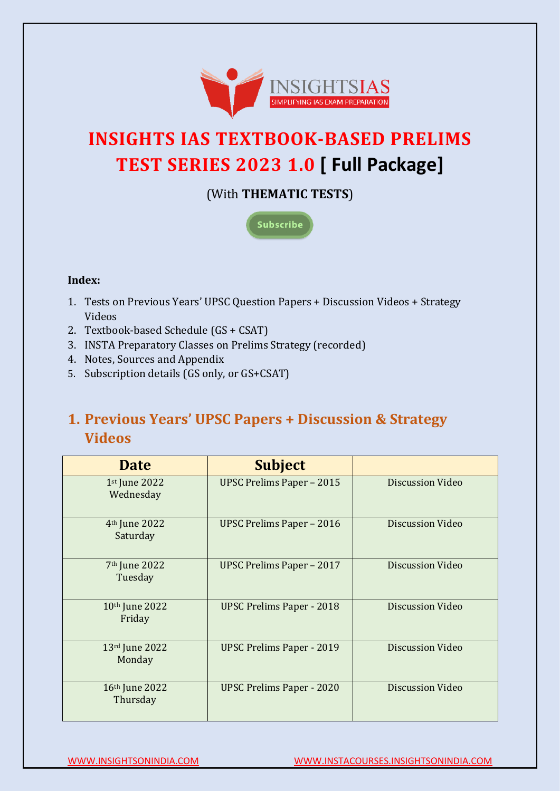

# **INSIGHTS IAS TEXTBOOK-BASED PRELIMS TEST SERIES 2023 1.0 [ Full Package]**

(With **THEMATIC TESTS**)



### **Index:**

- 1. Tests on Previous Years' UPSC Question Papers + [Discussion Videos + Strategy](#page-0-0)  [Videos](#page-0-0)
- 2. [Textbook-based Schedule](#page-1-0) (GS + CSAT)
- 3. INSTA Preparatory Classes [on Prelims Strategy \(recorded\)](#page-13-0)
- 4. [Notes, Sources and Appendix](#page-14-0)
- 5. Subscription details [\(GS only, or GS+CSAT\)](#page-16-0)

## <span id="page-0-0"></span>**1. Previous Years' UPSC Papers + Discussion & Strategy Videos**

| <b>Date</b>                           | <b>Subject</b>                   |                         |
|---------------------------------------|----------------------------------|-------------------------|
| 1st June 2022<br>Wednesday            | <b>UPSC Prelims Paper - 2015</b> | <b>Discussion Video</b> |
| 4 <sup>th</sup> June 2022<br>Saturday | <b>UPSC Prelims Paper - 2016</b> | Discussion Video        |
| 7 <sup>th</sup> June 2022<br>Tuesday  | <b>UPSC Prelims Paper - 2017</b> | <b>Discussion Video</b> |
| 10 <sup>th</sup> June 2022<br>Friday  | <b>UPSC Prelims Paper - 2018</b> | <b>Discussion Video</b> |
| 13rd June 2022<br>Monday              | <b>UPSC Prelims Paper - 2019</b> | <b>Discussion Video</b> |
| 16th June 2022<br>Thursday            | <b>UPSC Prelims Paper - 2020</b> | <b>Discussion Video</b> |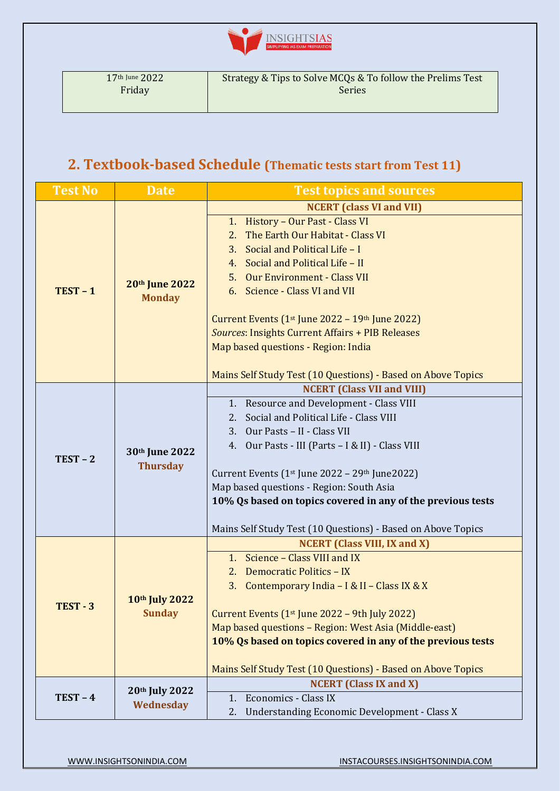

## <span id="page-1-0"></span>**2. Textbook-based Schedule (Thematic tests start from Test 11)**

| <b>Test No</b> | <b>Date</b>                       | <b>Test topics and sources</b>                                          |  |
|----------------|-----------------------------------|-------------------------------------------------------------------------|--|
|                |                                   | <b>NCERT</b> (class VI and VII)                                         |  |
|                |                                   | 1. History - Our Past - Class VI                                        |  |
|                |                                   | The Earth Our Habitat - Class VI<br>2.                                  |  |
|                |                                   | Social and Political Life - I<br>3.                                     |  |
|                |                                   | 4. Social and Political Life - II                                       |  |
| $TEST - 1$     | 20th June 2022                    | 5. Our Environment - Class VII                                          |  |
|                | <b>Monday</b>                     | 6. Science - Class VI and VII                                           |  |
|                |                                   | Current Events $(1st$ June 2022 – 19 <sup>th</sup> June 2022)           |  |
|                |                                   | <b>Sources: Insights Current Affairs + PIB Releases</b>                 |  |
|                |                                   | Map based questions - Region: India                                     |  |
|                |                                   | Mains Self Study Test (10 Questions) - Based on Above Topics            |  |
|                |                                   | <b>NCERT (Class VII and VIII)</b>                                       |  |
|                |                                   | 1. Resource and Development - Class VIII                                |  |
|                | 30th June 2022<br><b>Thursday</b> | Social and Political Life - Class VIII<br>2.                            |  |
|                |                                   | 3. Our Pasts - II - Class VII                                           |  |
|                |                                   | 4. Our Pasts - III (Parts - I & II) - Class VIII                        |  |
| $TEST - 2$     |                                   | Current Events (1 <sup>st</sup> June 2022 - 29 <sup>th</sup> June 2022) |  |
|                |                                   | Map based questions - Region: South Asia                                |  |
|                |                                   | 10% Qs based on topics covered in any of the previous tests             |  |
|                |                                   | Mains Self Study Test (10 Questions) - Based on Above Topics            |  |
|                |                                   | <b>NCERT</b> (Class VIII, IX and X)                                     |  |
|                |                                   | Science - Class VIII and IX<br>1 <sub>1</sub>                           |  |
|                |                                   | <b>Democratic Politics - IX</b><br>2.                                   |  |
|                |                                   | Contemporary India - I & II - Class IX & X<br>3.                        |  |
| TEST-3         | 10th July 2022<br><b>Sunday</b>   |                                                                         |  |
|                |                                   | Current Events $(1st)$ une 2022 – 9th July 2022)                        |  |
|                |                                   | Map based questions - Region: West Asia (Middle-east)                   |  |
|                |                                   | 10% Qs based on topics covered in any of the previous tests             |  |
|                |                                   | Mains Self Study Test (10 Questions) - Based on Above Topics            |  |
|                | 20th July 2022                    | <b>NCERT</b> (Class IX and X)                                           |  |
| $TEST-4$       | Wednesday                         | <b>Economics - Class IX</b><br>1.                                       |  |
|                |                                   | <b>Understanding Economic Development - Class X</b><br>2.               |  |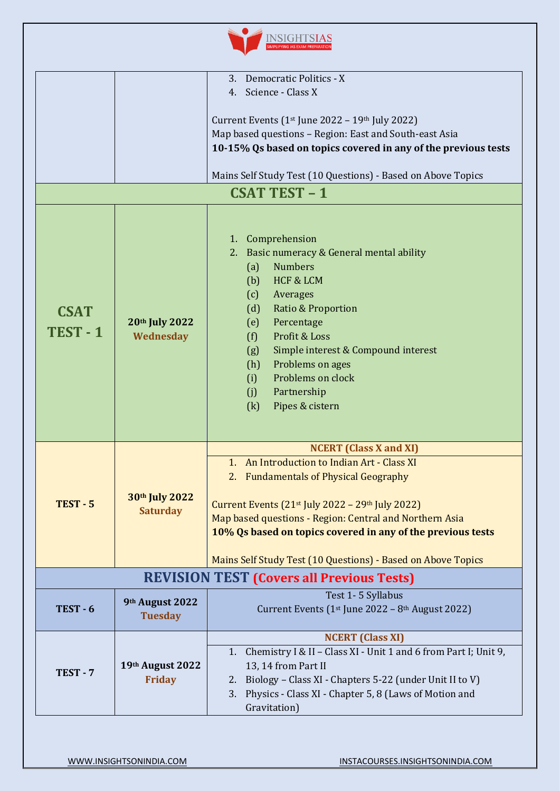

|                       |                                                  | Democratic Politics - X<br>3.                                                                                                                                                                                                                                                                                                                                    |  |
|-----------------------|--------------------------------------------------|------------------------------------------------------------------------------------------------------------------------------------------------------------------------------------------------------------------------------------------------------------------------------------------------------------------------------------------------------------------|--|
|                       |                                                  | 4. Science - Class X                                                                                                                                                                                                                                                                                                                                             |  |
|                       |                                                  |                                                                                                                                                                                                                                                                                                                                                                  |  |
|                       |                                                  | Current Events ( $1st$ June 2022 – $19th$ July 2022)                                                                                                                                                                                                                                                                                                             |  |
|                       |                                                  | Map based questions - Region: East and South-east Asia                                                                                                                                                                                                                                                                                                           |  |
|                       |                                                  | 10-15% Qs based on topics covered in any of the previous tests                                                                                                                                                                                                                                                                                                   |  |
|                       |                                                  |                                                                                                                                                                                                                                                                                                                                                                  |  |
|                       |                                                  | Mains Self Study Test (10 Questions) - Based on Above Topics                                                                                                                                                                                                                                                                                                     |  |
|                       |                                                  |                                                                                                                                                                                                                                                                                                                                                                  |  |
|                       |                                                  | <b>CSAT TEST - 1</b>                                                                                                                                                                                                                                                                                                                                             |  |
| <b>CSAT</b><br>TEST-1 | 20th July 2022<br>Wednesday                      | 1. Comprehension<br>Basic numeracy & General mental ability<br>2.<br><b>Numbers</b><br>(a)<br>HCF & LCM<br>(b)<br>(c)<br>Averages<br>Ratio & Proportion<br>(d)<br>Percentage<br>(e)<br>Profit & Loss<br>(f)<br>Simple interest & Compound interest<br>(g)<br>Problems on ages<br>(h)<br>Problems on clock<br>(i)<br>Partnership<br>(j)<br>Pipes & cistern<br>(k) |  |
|                       |                                                  | <b>NCERT</b> (Class X and XI)                                                                                                                                                                                                                                                                                                                                    |  |
|                       | 30th July 2022<br><b>Saturday</b>                | An Introduction to Indian Art - Class XI<br>$1_{-}$                                                                                                                                                                                                                                                                                                              |  |
|                       |                                                  |                                                                                                                                                                                                                                                                                                                                                                  |  |
|                       |                                                  | 2. Fundamentals of Physical Geography                                                                                                                                                                                                                                                                                                                            |  |
|                       |                                                  |                                                                                                                                                                                                                                                                                                                                                                  |  |
| <b>TEST - 5</b>       |                                                  | Current Events $(21st$ July 2022 - 29 <sup>th</sup> July 2022)                                                                                                                                                                                                                                                                                                   |  |
|                       |                                                  | Map based questions - Region: Central and Northern Asia                                                                                                                                                                                                                                                                                                          |  |
|                       |                                                  | 10% Qs based on topics covered in any of the previous tests                                                                                                                                                                                                                                                                                                      |  |
|                       |                                                  |                                                                                                                                                                                                                                                                                                                                                                  |  |
|                       |                                                  | Mains Self Study Test (10 Questions) - Based on Above Topics                                                                                                                                                                                                                                                                                                     |  |
|                       | <b>REVISION TEST (Covers all Previous Tests)</b> |                                                                                                                                                                                                                                                                                                                                                                  |  |
|                       | 9th August 2022                                  | Test 1-5 Syllabus                                                                                                                                                                                                                                                                                                                                                |  |
| $TEST - 6$            |                                                  | Current Events (1 <sup>st</sup> June 2022 - 8 <sup>th</sup> August 2022)                                                                                                                                                                                                                                                                                         |  |
|                       | <b>Tuesday</b>                                   |                                                                                                                                                                                                                                                                                                                                                                  |  |
|                       |                                                  | <b>NCERT</b> (Class XI)                                                                                                                                                                                                                                                                                                                                          |  |
| TEST-7                |                                                  | Chemistry I & II - Class XI - Unit 1 and 6 from Part I; Unit 9,<br>1.                                                                                                                                                                                                                                                                                            |  |
|                       | 19th August 2022<br><b>Friday</b>                | 13, 14 from Part II                                                                                                                                                                                                                                                                                                                                              |  |
|                       |                                                  | Biology - Class XI - Chapters 5-22 (under Unit II to V)<br>2.                                                                                                                                                                                                                                                                                                    |  |
|                       |                                                  | Physics - Class XI - Chapter 5, 8 (Laws of Motion and<br>3.                                                                                                                                                                                                                                                                                                      |  |
|                       |                                                  | Gravitation)                                                                                                                                                                                                                                                                                                                                                     |  |
|                       |                                                  |                                                                                                                                                                                                                                                                                                                                                                  |  |
|                       |                                                  |                                                                                                                                                                                                                                                                                                                                                                  |  |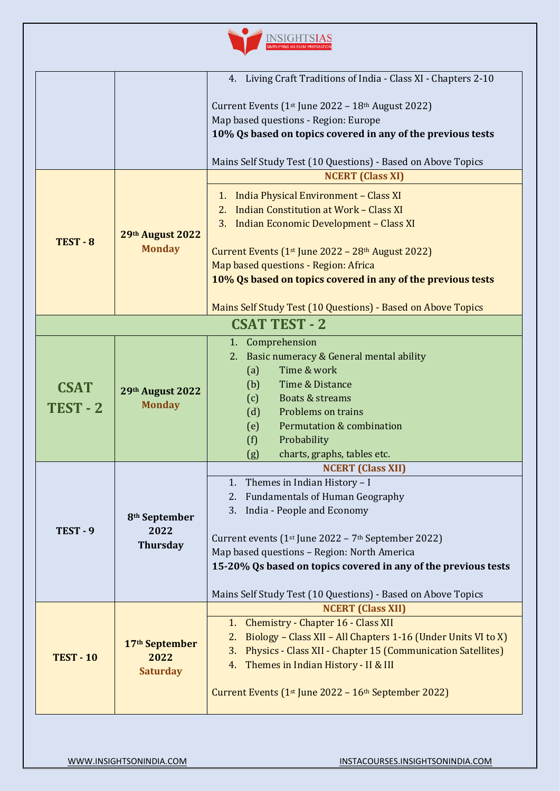

|                  |                                   | 4. Living Craft Traditions of India - Class XI - Chapters 2-10                                      |
|------------------|-----------------------------------|-----------------------------------------------------------------------------------------------------|
|                  |                                   | Current Events (1 <sup>st</sup> June 2022 - 18 <sup>th</sup> August 2022)                           |
|                  |                                   | Map based questions - Region: Europe                                                                |
|                  |                                   | 10% Qs based on topics covered in any of the previous tests                                         |
|                  |                                   |                                                                                                     |
|                  |                                   | Mains Self Study Test (10 Questions) - Based on Above Topics                                        |
|                  |                                   | <b>NCERT</b> (Class XI)                                                                             |
|                  |                                   | 1. India Physical Environment - Class XI                                                            |
|                  |                                   | <b>Indian Constitution at Work - Class XI</b><br>2.                                                 |
|                  |                                   | 3. Indian Economic Development - Class XI                                                           |
| TEST - 8         | 29th August 2022<br><b>Monday</b> |                                                                                                     |
|                  |                                   | Current Events (1 <sup>st</sup> June 2022 - 28 <sup>th</sup> August 2022)                           |
|                  |                                   | Map based questions - Region: Africa<br>10% Qs based on topics covered in any of the previous tests |
|                  |                                   |                                                                                                     |
|                  |                                   | Mains Self Study Test (10 Questions) - Based on Above Topics                                        |
|                  |                                   | <b>CSAT TEST - 2</b>                                                                                |
|                  |                                   | 1. Comprehension                                                                                    |
|                  |                                   | Basic numeracy & General mental ability<br>2.                                                       |
|                  |                                   | Time & work<br>(a)                                                                                  |
| <b>CSAT</b>      | 29th August 2022<br><b>Monday</b> | Time & Distance<br>(b)                                                                              |
| TEST-2           |                                   | Boats & streams<br>(c)                                                                              |
|                  |                                   | (d)<br>Problems on trains                                                                           |
|                  |                                   | Permutation & combination<br>(e)                                                                    |
|                  |                                   | (f)<br>Probability<br>charts, graphs, tables etc.<br>(g)                                            |
|                  |                                   | <b>NCERT (Class XII)</b>                                                                            |
|                  |                                   | 1. Themes in Indian History - I                                                                     |
|                  |                                   | 2. Fundamentals of Human Geography                                                                  |
|                  | 8 <sup>th</sup> September         | 3. India - People and Economy                                                                       |
| TEST-9           | 2022                              |                                                                                                     |
|                  | <b>Thursday</b>                   | Current events $(1st$ June 2022 – 7 <sup>th</sup> September 2022)                                   |
|                  |                                   | Map based questions - Region: North America                                                         |
|                  |                                   | 15-20% Qs based on topics covered in any of the previous tests                                      |
|                  |                                   | Mains Self Study Test (10 Questions) - Based on Above Topics                                        |
|                  |                                   | <b>NCERT (Class XII)</b>                                                                            |
|                  | 17th September<br>2022            | Chemistry - Chapter 16 - Class XII<br>1.                                                            |
| <b>TEST - 10</b> |                                   | Biology - Class XII - All Chapters 1-16 (Under Units VI to X)<br>2.                                 |
|                  |                                   | Physics - Class XII - Chapter 15 (Communication Satellites)<br>3.                                   |
|                  | <b>Saturday</b>                   | Themes in Indian History - II & III<br>4.                                                           |
|                  |                                   | Current Events (1 <sup>st</sup> June 2022 - 16 <sup>th</sup> September 2022)                        |
|                  |                                   |                                                                                                     |
|                  |                                   |                                                                                                     |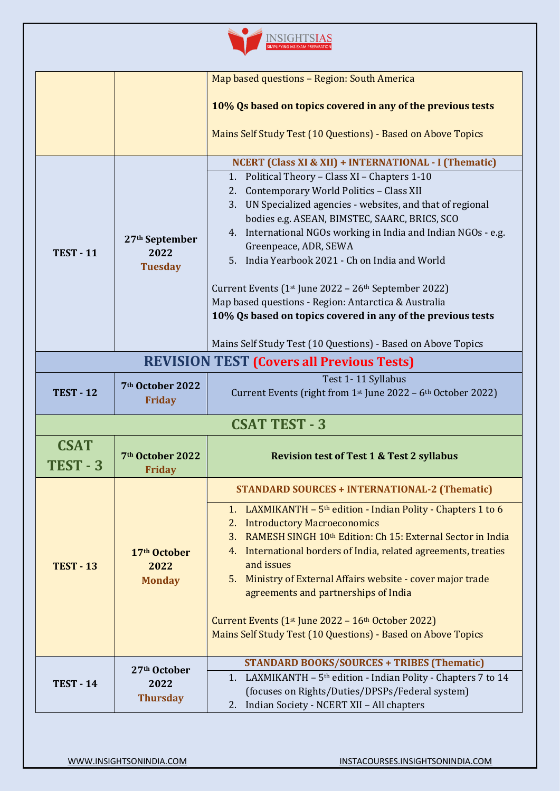

|                         |                                                      | Map based questions - Region: South America                                                                                                                                                                                                                                                                                                                                                                                                                                                                                                                                                                                                                                                  |  |
|-------------------------|------------------------------------------------------|----------------------------------------------------------------------------------------------------------------------------------------------------------------------------------------------------------------------------------------------------------------------------------------------------------------------------------------------------------------------------------------------------------------------------------------------------------------------------------------------------------------------------------------------------------------------------------------------------------------------------------------------------------------------------------------------|--|
|                         |                                                      | 10% Qs based on topics covered in any of the previous tests                                                                                                                                                                                                                                                                                                                                                                                                                                                                                                                                                                                                                                  |  |
|                         |                                                      | Mains Self Study Test (10 Questions) - Based on Above Topics                                                                                                                                                                                                                                                                                                                                                                                                                                                                                                                                                                                                                                 |  |
| <b>TEST - 11</b>        | 27 <sup>th</sup> September<br>2022<br><b>Tuesday</b> | <b>NCERT (Class XI &amp; XII) + INTERNATIONAL - I (Thematic)</b><br>1. Political Theory - Class XI - Chapters 1-10<br>Contemporary World Politics - Class XII<br>2.<br>3. UN Specialized agencies - websites, and that of regional<br>bodies e.g. ASEAN, BIMSTEC, SAARC, BRICS, SCO<br>4. International NGOs working in India and Indian NGOs - e.g.<br>Greenpeace, ADR, SEWA<br>5. India Yearbook 2021 - Ch on India and World<br>Current Events $(1st$ June 2022 – 26 <sup>th</sup> September 2022)<br>Map based questions - Region: Antarctica & Australia<br>10% Qs based on topics covered in any of the previous tests<br>Mains Self Study Test (10 Questions) - Based on Above Topics |  |
|                         | <b>REVISION TEST (Covers all Previous Tests)</b>     |                                                                                                                                                                                                                                                                                                                                                                                                                                                                                                                                                                                                                                                                                              |  |
| <b>TEST - 12</b>        | 7 <sup>th</sup> October 2022<br><b>Friday</b>        | Test 1-11 Syllabus<br>Current Events (right from 1 <sup>st</sup> June 2022 - 6 <sup>th</sup> October 2022)                                                                                                                                                                                                                                                                                                                                                                                                                                                                                                                                                                                   |  |
| <b>CSAT TEST - 3</b>    |                                                      |                                                                                                                                                                                                                                                                                                                                                                                                                                                                                                                                                                                                                                                                                              |  |
| <b>CSAT</b><br>TEST - 3 | 7 <sup>th</sup> October 2022<br><b>Friday</b>        | <b>Revision test of Test 1 &amp; Test 2 syllabus</b>                                                                                                                                                                                                                                                                                                                                                                                                                                                                                                                                                                                                                                         |  |
|                         |                                                      | <b>STANDARD SOURCES + INTERNATIONAL-2 (Thematic)</b>                                                                                                                                                                                                                                                                                                                                                                                                                                                                                                                                                                                                                                         |  |
| <b>TEST - 13</b>        | 17 <sup>th</sup> October<br>2022<br><b>Monday</b>    | LAXMIKANTH $-5$ <sup>th</sup> edition - Indian Polity - Chapters 1 to 6<br>1.<br><b>Introductory Macroeconomics</b><br>2.<br>RAMESH SINGH 10 <sup>th</sup> Edition: Ch 15: External Sector in India<br>3.<br>International borders of India, related agreements, treaties<br>4.<br>and issues<br>Ministry of External Affairs website - cover major trade<br>5.<br>agreements and partnerships of India<br>Current Events $(1st$ June 2022 - $16th$ October 2022)<br>Mains Self Study Test (10 Questions) - Based on Above Topics                                                                                                                                                            |  |
| <b>TEST - 14</b>        | 27 <sup>th</sup> October<br>2022<br><b>Thursday</b>  | <b>STANDARD BOOKS/SOURCES + TRIBES (Thematic)</b><br>1. LAXMIKANTH - 5 <sup>th</sup> edition - Indian Polity - Chapters 7 to 14<br>(focuses on Rights/Duties/DPSPs/Federal system)<br>2. Indian Society - NCERT XII - All chapters                                                                                                                                                                                                                                                                                                                                                                                                                                                           |  |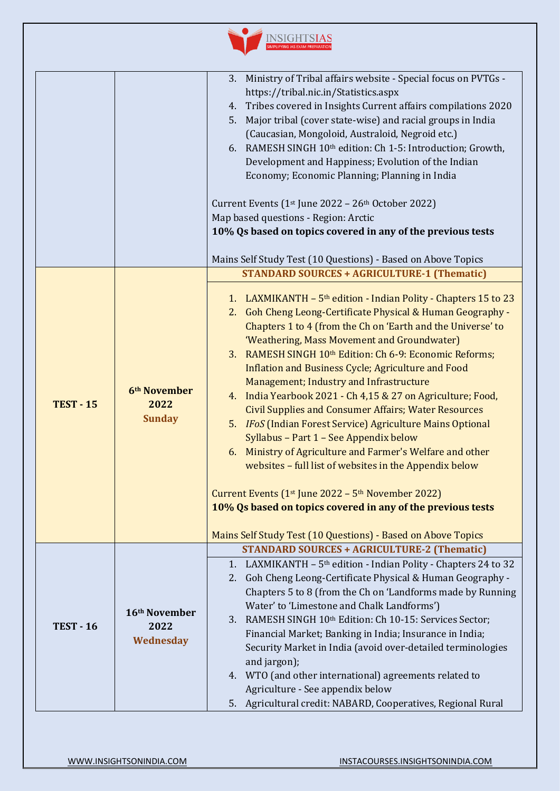| Ministry of Tribal affairs website - Special focus on PVTGs -<br>Tribes covered in Insights Current affairs compilations 2020<br>Major tribal (cover state-wise) and racial groups in India<br>6. RAMESH SINGH 10th edition: Ch 1-5: Introduction; Growth,<br>Development and Happiness; Evolution of the Indian                                                                                                                                                                                                                                                                                                                                                                                                  |
|-------------------------------------------------------------------------------------------------------------------------------------------------------------------------------------------------------------------------------------------------------------------------------------------------------------------------------------------------------------------------------------------------------------------------------------------------------------------------------------------------------------------------------------------------------------------------------------------------------------------------------------------------------------------------------------------------------------------|
| 10% Qs based on topics covered in any of the previous tests<br>Mains Self Study Test (10 Questions) - Based on Above Topics                                                                                                                                                                                                                                                                                                                                                                                                                                                                                                                                                                                       |
| <b>STANDARD SOURCES + AGRICULTURE-1 (Thematic)</b>                                                                                                                                                                                                                                                                                                                                                                                                                                                                                                                                                                                                                                                                |
| LAXMIKANTH $-5$ <sup>th</sup> edition - Indian Polity - Chapters 15 to 23<br>2. Goh Cheng Leong-Certificate Physical & Human Geography -<br>Chapters 1 to 4 (from the Ch on 'Earth and the Universe' to<br>RAMESH SINGH 10th Edition: Ch 6-9: Economic Reforms;<br>4. India Yearbook 2021 - Ch 4,15 & 27 on Agriculture; Food,<br><b>Civil Supplies and Consumer Affairs; Water Resources</b><br>5. IFoS (Indian Forest Service) Agriculture Mains Optional<br>6. Ministry of Agriculture and Farmer's Welfare and other<br>websites - full list of websites in the Appendix below<br>10% Qs based on topics covered in any of the previous tests<br>Mains Self Study Test (10 Questions) - Based on Above Topics |
| <b>STANDARD SOURCES + AGRICULTURE-2 (Thematic)</b>                                                                                                                                                                                                                                                                                                                                                                                                                                                                                                                                                                                                                                                                |
| LAXMIKANTH - 5 <sup>th</sup> edition - Indian Polity - Chapters 24 to 32<br>Goh Cheng Leong-Certificate Physical & Human Geography -<br>Chapters 5 to 8 (from the Ch on 'Landforms made by Running<br>RAMESH SINGH 10 <sup>th</sup> Edition: Ch 10-15: Services Sector;<br>Financial Market; Banking in India; Insurance in India;<br>Security Market in India (avoid over-detailed terminologies<br>4. WTO (and other international) agreements related to<br>Agricultural credit: NABARD, Cooperatives, Regional Rural                                                                                                                                                                                          |
|                                                                                                                                                                                                                                                                                                                                                                                                                                                                                                                                                                                                                                                                                                                   |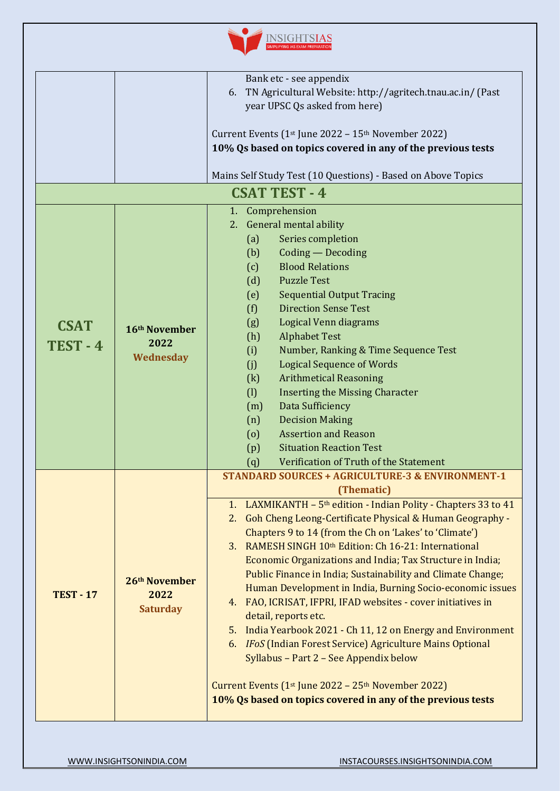

| Bank etc - see appendix                                                                  |                                                                  |  |
|------------------------------------------------------------------------------------------|------------------------------------------------------------------|--|
|                                                                                          |                                                                  |  |
|                                                                                          | TN Agricultural Website: http://agritech.tnau.ac.in/ (Past<br>6. |  |
| year UPSC Qs asked from here)                                                            |                                                                  |  |
|                                                                                          |                                                                  |  |
| Current Events (1 <sup>st</sup> June 2022 – 15 <sup>th</sup> November 2022)              |                                                                  |  |
|                                                                                          | 10% Qs based on topics covered in any of the previous tests      |  |
|                                                                                          |                                                                  |  |
| Mains Self Study Test (10 Questions) - Based on Above Topics                             |                                                                  |  |
| <b>CSAT TEST - 4</b>                                                                     |                                                                  |  |
| 1. Comprehension                                                                         |                                                                  |  |
| 2. General mental ability                                                                |                                                                  |  |
| Series completion<br>(a)                                                                 |                                                                  |  |
| Coding - Decoding<br>(b)                                                                 |                                                                  |  |
| <b>Blood Relations</b><br>(c)                                                            |                                                                  |  |
| <b>Puzzle Test</b><br>(d)                                                                |                                                                  |  |
| (e)<br><b>Sequential Output Tracing</b>                                                  |                                                                  |  |
| <b>Direction Sense Test</b><br>(f)                                                       |                                                                  |  |
| (g)<br>Logical Venn diagrams<br><b>CSAT</b><br>16th November                             |                                                                  |  |
| (h)<br><b>Alphabet Test</b>                                                              |                                                                  |  |
| 2022<br>TEST-4<br>(i)<br>Number, Ranking & Time Sequence Test                            |                                                                  |  |
| Wednesday<br><b>Logical Sequence of Words</b><br>(j)                                     |                                                                  |  |
| (k)<br><b>Arithmetical Reasoning</b>                                                     |                                                                  |  |
| (1)<br><b>Inserting the Missing Character</b>                                            |                                                                  |  |
| Data Sufficiency<br>(m)                                                                  |                                                                  |  |
| <b>Decision Making</b><br>(n)                                                            |                                                                  |  |
| <b>Assertion and Reason</b><br>$\left( 0\right)$                                         |                                                                  |  |
| <b>Situation Reaction Test</b><br>(p)                                                    |                                                                  |  |
| Verification of Truth of the Statement<br>(q)                                            |                                                                  |  |
| <b>STANDARD SOURCES + AGRICULTURE-3 &amp; ENVIRONMENT-1</b>                              |                                                                  |  |
| (Thematic)                                                                               |                                                                  |  |
| 1. LAXMIKANTH - 5 <sup>th</sup> edition - Indian Polity - Chapters 33 to 41              |                                                                  |  |
| 2. Goh Cheng Leong-Certificate Physical & Human Geography -                              |                                                                  |  |
| Chapters 9 to 14 (from the Ch on 'Lakes' to 'Climate')                                   |                                                                  |  |
| 3. RAMESH SINGH 10th Edition: Ch 16-21: International                                    |                                                                  |  |
| Economic Organizations and India; Tax Structure in India;                                |                                                                  |  |
| Public Finance in India; Sustainability and Climate Change;                              |                                                                  |  |
| 26th November<br>Human Development in India, Burning Socio-economic issues               |                                                                  |  |
| <b>TEST - 17</b><br>2022<br>4. FAO, ICRISAT, IFPRI, IFAD websites - cover initiatives in |                                                                  |  |
| <b>Saturday</b><br>detail, reports etc.                                                  |                                                                  |  |
| 5.                                                                                       |                                                                  |  |
| India Yearbook 2021 - Ch 11, 12 on Energy and Environment                                |                                                                  |  |
| 6. IFoS (Indian Forest Service) Agriculture Mains Optional                               |                                                                  |  |
| Syllabus - Part 2 - See Appendix below                                                   |                                                                  |  |
| Current Events $(1st$ June 2022 – 25 <sup>th</sup> November 2022)                        |                                                                  |  |
| 10% Qs based on topics covered in any of the previous tests                              |                                                                  |  |
|                                                                                          |                                                                  |  |
|                                                                                          |                                                                  |  |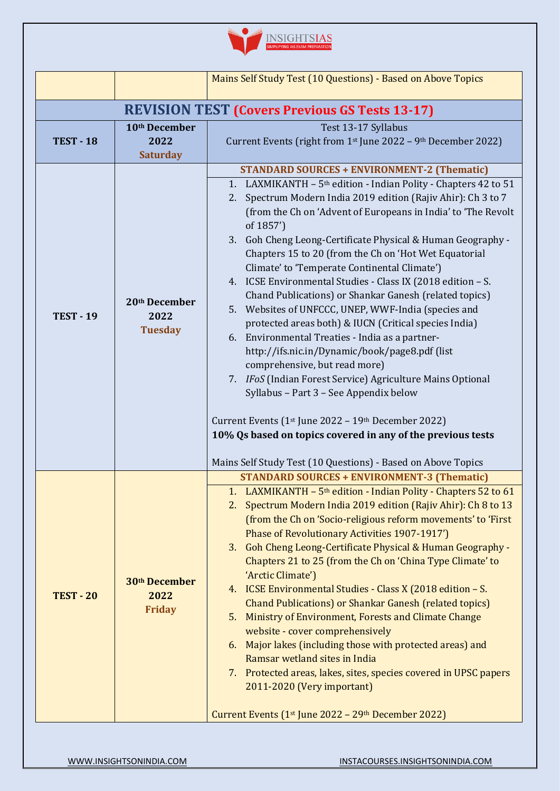

|                                                       |                                                    | Mains Self Study Test (10 Questions) - Based on Above Topics                                                                                                                                                                                                                                                                                                                                                                                                                                                                                                                                                                                                                                                                                                                                                                                                                                                                                                                                                                                                                                                                                        |
|-------------------------------------------------------|----------------------------------------------------|-----------------------------------------------------------------------------------------------------------------------------------------------------------------------------------------------------------------------------------------------------------------------------------------------------------------------------------------------------------------------------------------------------------------------------------------------------------------------------------------------------------------------------------------------------------------------------------------------------------------------------------------------------------------------------------------------------------------------------------------------------------------------------------------------------------------------------------------------------------------------------------------------------------------------------------------------------------------------------------------------------------------------------------------------------------------------------------------------------------------------------------------------------|
| <b>REVISION TEST (Covers Previous GS Tests 13-17)</b> |                                                    |                                                                                                                                                                                                                                                                                                                                                                                                                                                                                                                                                                                                                                                                                                                                                                                                                                                                                                                                                                                                                                                                                                                                                     |
| <b>TEST - 18</b>                                      | 10th December<br>2022<br><b>Saturday</b>           | Test 13-17 Syllabus<br>Current Events (right from 1st June 2022 - 9th December 2022)                                                                                                                                                                                                                                                                                                                                                                                                                                                                                                                                                                                                                                                                                                                                                                                                                                                                                                                                                                                                                                                                |
| <b>TEST - 19</b>                                      | 20th December<br>2022<br><b>Tuesday</b>            | <b>STANDARD SOURCES + ENVIRONMENT-2 (Thematic)</b><br>LAXMIKANTH - 5 <sup>th</sup> edition - Indian Polity - Chapters 42 to 51<br>1.<br>Spectrum Modern India 2019 edition (Rajiv Ahir): Ch 3 to 7<br>2.<br>(from the Ch on 'Advent of Europeans in India' to 'The Revolt<br>of 1857')<br>Goh Cheng Leong-Certificate Physical & Human Geography -<br>3.<br>Chapters 15 to 20 (from the Ch on 'Hot Wet Equatorial<br>Climate' to 'Temperate Continental Climate')<br>4. ICSE Environmental Studies - Class IX (2018 edition - S.<br>Chand Publications) or Shankar Ganesh (related topics)<br>5. Websites of UNFCCC, UNEP, WWF-India (species and<br>protected areas both) & IUCN (Critical species India)<br>6. Environmental Treaties - India as a partner-<br>http://ifs.nic.in/Dynamic/book/page8.pdf (list<br>comprehensive, but read more)<br>7. IFoS (Indian Forest Service) Agriculture Mains Optional<br>Syllabus - Part 3 - See Appendix below<br>Current Events ( $1st$ June 2022 – $19th$ December 2022)<br>10% Qs based on topics covered in any of the previous tests<br>Mains Self Study Test (10 Questions) - Based on Above Topics |
| <b>TEST - 20</b>                                      | 30 <sup>th</sup> December<br>2022<br><b>Friday</b> | <b>STANDARD SOURCES + ENVIRONMENT-3 (Thematic)</b><br>LAXMIKANTH $-5$ <sup>th</sup> edition - Indian Polity - Chapters 52 to 61<br>Spectrum Modern India 2019 edition (Rajiv Ahir): Ch 8 to 13<br>2.<br>(from the Ch on 'Socio-religious reform movements' to 'First<br>Phase of Revolutionary Activities 1907-1917')<br>3. Goh Cheng Leong-Certificate Physical & Human Geography -<br>Chapters 21 to 25 (from the Ch on 'China Type Climate' to<br>'Arctic Climate')<br>ICSE Environmental Studies - Class X (2018 edition - S.<br>4.<br><b>Chand Publications) or Shankar Ganesh (related topics)</b><br>5. Ministry of Environment, Forests and Climate Change<br>website - cover comprehensively<br>Major lakes (including those with protected areas) and<br>6.<br>Ramsar wetland sites in India<br>7. Protected areas, lakes, sites, species covered in UPSC papers<br>2011-2020 (Very important)<br>Current Events (1 <sup>st</sup> June 2022 - 29 <sup>th</sup> December 2022)                                                                                                                                                             |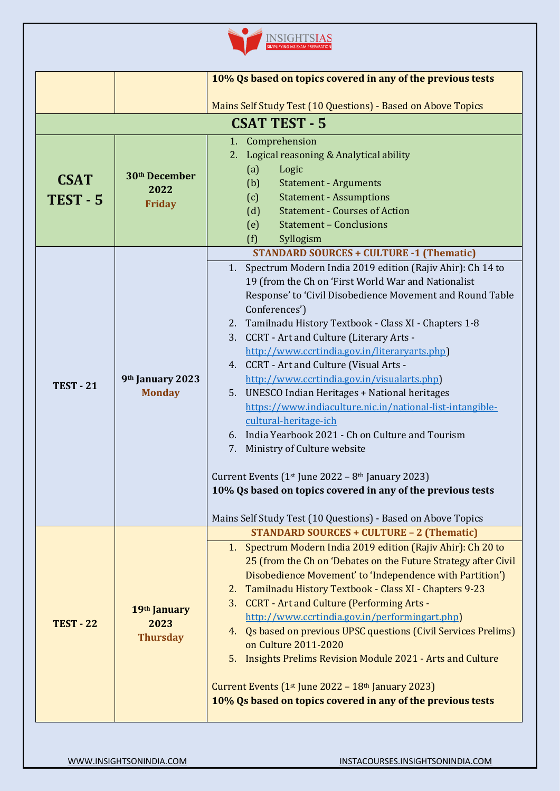| 10% Qs based on topics covered in any of the previous tests<br>Mains Self Study Test (10 Questions) - Based on Above Topics<br><b>CSAT TEST - 5</b><br>1. Comprehension<br>2. Logical reasoning & Analytical ability<br>(a)<br>Logic<br>30 <sup>th</sup> December<br><b>CSAT</b><br>(b)<br><b>Statement - Arguments</b><br>2022<br>(c)<br><b>Statement - Assumptions</b><br><b>TEST - 5</b><br><b>Friday</b><br><b>Statement - Courses of Action</b><br>(d)<br>(e)<br><b>Statement - Conclusions</b> |                                         |                                                                                                                                                                                                                                                                                                                                                                                                                                                                                                                                                                                                                                                                                                                                                                                                                                                                                                      |
|------------------------------------------------------------------------------------------------------------------------------------------------------------------------------------------------------------------------------------------------------------------------------------------------------------------------------------------------------------------------------------------------------------------------------------------------------------------------------------------------------|-----------------------------------------|------------------------------------------------------------------------------------------------------------------------------------------------------------------------------------------------------------------------------------------------------------------------------------------------------------------------------------------------------------------------------------------------------------------------------------------------------------------------------------------------------------------------------------------------------------------------------------------------------------------------------------------------------------------------------------------------------------------------------------------------------------------------------------------------------------------------------------------------------------------------------------------------------|
| <b>TEST - 21</b>                                                                                                                                                                                                                                                                                                                                                                                                                                                                                     | 9th January 2023<br><b>Monday</b>       | (f)<br>Syllogism<br><b>STANDARD SOURCES + CULTURE -1 (Thematic)</b><br>Spectrum Modern India 2019 edition (Rajiv Ahir): Ch 14 to<br>1.<br>19 (from the Ch on 'First World War and Nationalist<br>Response' to 'Civil Disobedience Movement and Round Table<br>Conferences')<br>2. Tamilnadu History Textbook - Class XI - Chapters 1-8<br><b>CCRT</b> - Art and Culture (Literary Arts -<br>3.<br>http://www.ccrtindia.gov.in/literaryarts.php]<br>4. CCRT - Art and Culture (Visual Arts -<br>http://www.ccrtindia.gov.in/visualarts.php]<br>5. UNESCO Indian Heritages + National heritages<br>https://www.indiaculture.nic.in/national-list-intangible-<br>cultural-heritage-ich<br>6. India Yearbook 2021 - Ch on Culture and Tourism<br>7. Ministry of Culture website<br>Current Events ( $1st$ June 2022 – $8th$ January 2023)<br>10% Qs based on topics covered in any of the previous tests |
| <b>TEST - 22</b>                                                                                                                                                                                                                                                                                                                                                                                                                                                                                     | 19th January<br>2023<br><b>Thursday</b> | Mains Self Study Test (10 Questions) - Based on Above Topics<br><b>STANDARD SOURCES + CULTURE - 2 (Thematic)</b><br>1. Spectrum Modern India 2019 edition (Rajiv Ahir): Ch 20 to<br>25 (from the Ch on 'Debates on the Future Strategy after Civil<br>Disobedience Movement' to 'Independence with Partition')<br>Tamilnadu History Textbook - Class XI - Chapters 9-23<br>2.<br>3. CCRT - Art and Culture (Performing Arts -<br>http://www.ccrtindia.gov.in/performingart.php)<br>4. Qs based on previous UPSC questions (Civil Services Prelims)<br>on Culture 2011-2020<br>Insights Prelims Revision Module 2021 - Arts and Culture<br>5.<br>Current Events $(1st$ June 2022 – $18th$ January 2023)<br>10% Qs based on topics covered in any of the previous tests                                                                                                                                |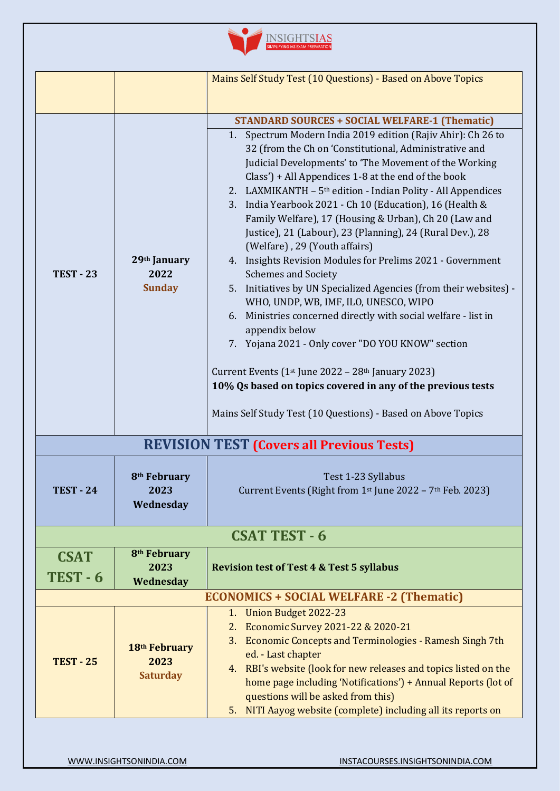|                                                  |                                                      | Mains Self Study Test (10 Questions) - Based on Above Topics                                                                                                                                                                                                                                                                                                                                                                                                                                                                                                                                                                                                                                                                                                                                                                                                                                                                                                                                                                                                                                                                                                 |
|--------------------------------------------------|------------------------------------------------------|--------------------------------------------------------------------------------------------------------------------------------------------------------------------------------------------------------------------------------------------------------------------------------------------------------------------------------------------------------------------------------------------------------------------------------------------------------------------------------------------------------------------------------------------------------------------------------------------------------------------------------------------------------------------------------------------------------------------------------------------------------------------------------------------------------------------------------------------------------------------------------------------------------------------------------------------------------------------------------------------------------------------------------------------------------------------------------------------------------------------------------------------------------------|
| <b>TEST - 23</b>                                 | 29th January<br>2022<br><b>Sunday</b>                | <b>STANDARD SOURCES + SOCIAL WELFARE-1 (Thematic)</b><br>1. Spectrum Modern India 2019 edition (Rajiv Ahir): Ch 26 to<br>32 (from the Ch on 'Constitutional, Administrative and<br>Judicial Developments' to 'The Movement of the Working<br>Class') + All Appendices 1-8 at the end of the book<br>2. LAXMIKANTH - 5 <sup>th</sup> edition - Indian Polity - All Appendices<br>India Yearbook 2021 - Ch 10 (Education), 16 (Health &<br>3.<br>Family Welfare), 17 (Housing & Urban), Ch 20 (Law and<br>Justice), 21 (Labour), 23 (Planning), 24 (Rural Dev.), 28<br>(Welfare), 29 (Youth affairs)<br>4. Insights Revision Modules for Prelims 2021 - Government<br><b>Schemes and Society</b><br>Initiatives by UN Specialized Agencies (from their websites) -<br>5.<br>WHO, UNDP, WB, IMF, ILO, UNESCO, WIPO<br>6. Ministries concerned directly with social welfare - list in<br>appendix below<br>7. Yojana 2021 - Only cover "DO YOU KNOW" section<br>Current Events ( $1st$ June 2022 – 28 <sup>th</sup> January 2023)<br>10% Qs based on topics covered in any of the previous tests<br>Mains Self Study Test (10 Questions) - Based on Above Topics |
| <b>REVISION TEST (Covers all Previous Tests)</b> |                                                      |                                                                                                                                                                                                                                                                                                                                                                                                                                                                                                                                                                                                                                                                                                                                                                                                                                                                                                                                                                                                                                                                                                                                                              |
| <b>TEST - 24</b>                                 | 8 <sup>th</sup> February<br>2023<br>Wednesday        | Test 1-23 Syllabus<br>Current Events (Right from $1st$ June 2022 – 7 <sup>th</sup> Feb. 2023)                                                                                                                                                                                                                                                                                                                                                                                                                                                                                                                                                                                                                                                                                                                                                                                                                                                                                                                                                                                                                                                                |
|                                                  |                                                      | <b>CSAT TEST - 6</b>                                                                                                                                                                                                                                                                                                                                                                                                                                                                                                                                                                                                                                                                                                                                                                                                                                                                                                                                                                                                                                                                                                                                         |
| <b>CSAT</b><br>TEST-6                            | 8 <sup>th</sup> February<br>2023<br>Wednesday        | <b>Revision test of Test 4 &amp; Test 5 syllabus</b>                                                                                                                                                                                                                                                                                                                                                                                                                                                                                                                                                                                                                                                                                                                                                                                                                                                                                                                                                                                                                                                                                                         |
|                                                  | <b>ECONOMICS + SOCIAL WELFARE -2 (Thematic)</b>      |                                                                                                                                                                                                                                                                                                                                                                                                                                                                                                                                                                                                                                                                                                                                                                                                                                                                                                                                                                                                                                                                                                                                                              |
| <b>TEST - 25</b>                                 | 18 <sup>th</sup> February<br>2023<br><b>Saturday</b> | 1. Union Budget 2022-23<br>Economic Survey 2021-22 & 2020-21<br>2.<br>3. Economic Concepts and Terminologies - Ramesh Singh 7th<br>ed. - Last chapter<br>4. RBI's website (look for new releases and topics listed on the<br>home page including 'Notifications') + Annual Reports (lot of<br>questions will be asked from this)<br>NITI Aayog website (complete) including all its reports on<br>5.                                                                                                                                                                                                                                                                                                                                                                                                                                                                                                                                                                                                                                                                                                                                                         |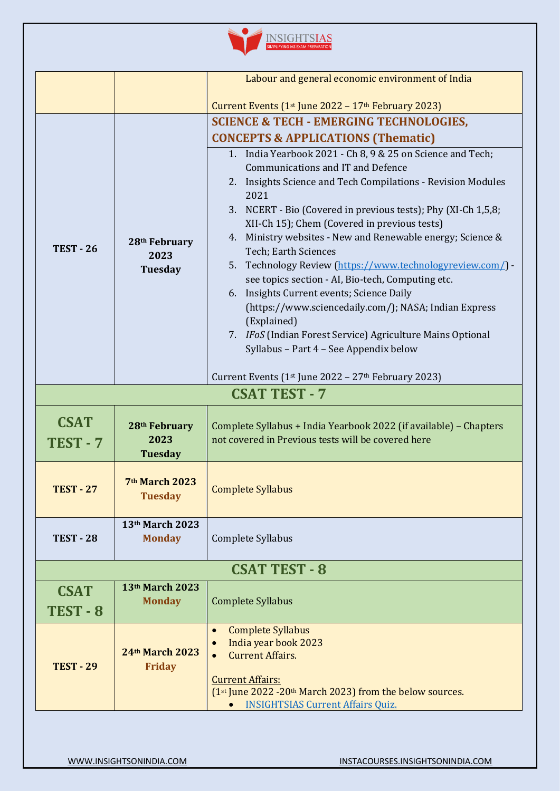|  | <b>SIMPLIFYING IAS EXAM PREPARATION</b> |
|--|-----------------------------------------|
|  |                                         |

|                                |                                                     | Labour and general economic environment of India                                                                                                                                                                                                                                                                                                                                                                                                                                                                                                                                                                                                                                                                                      |
|--------------------------------|-----------------------------------------------------|---------------------------------------------------------------------------------------------------------------------------------------------------------------------------------------------------------------------------------------------------------------------------------------------------------------------------------------------------------------------------------------------------------------------------------------------------------------------------------------------------------------------------------------------------------------------------------------------------------------------------------------------------------------------------------------------------------------------------------------|
|                                |                                                     | Current Events $(1st$ June 2022 – 17 <sup>th</sup> February 2023)                                                                                                                                                                                                                                                                                                                                                                                                                                                                                                                                                                                                                                                                     |
|                                |                                                     | <b>SCIENCE &amp; TECH - EMERGING TECHNOLOGIES,</b>                                                                                                                                                                                                                                                                                                                                                                                                                                                                                                                                                                                                                                                                                    |
|                                |                                                     | <b>CONCEPTS &amp; APPLICATIONS (Thematic)</b>                                                                                                                                                                                                                                                                                                                                                                                                                                                                                                                                                                                                                                                                                         |
| <b>TEST - 26</b>               | 28th February<br>2023<br>Tuesday                    | 1. India Yearbook 2021 - Ch 8, 9 & 25 on Science and Tech;<br><b>Communications and IT and Defence</b><br>2. Insights Science and Tech Compilations - Revision Modules<br>2021<br>3. NCERT - Bio (Covered in previous tests); Phy (XI-Ch 1,5,8;<br>XII-Ch 15); Chem (Covered in previous tests)<br>4. Ministry websites - New and Renewable energy; Science &<br>Tech; Earth Sciences<br>5. Technology Review (https://www.technologyreview.com/) -<br>see topics section - AI, Bio-tech, Computing etc.<br>6. Insights Current events; Science Daily<br>(https://www.sciencedaily.com/); NASA; Indian Express<br>(Explained)<br>7. IFoS (Indian Forest Service) Agriculture Mains Optional<br>Syllabus - Part 4 - See Appendix below |
|                                |                                                     | Current Events ( $1st$ June 2022 – 27 <sup>th</sup> February 2023)                                                                                                                                                                                                                                                                                                                                                                                                                                                                                                                                                                                                                                                                    |
|                                |                                                     | <b>CSAT TEST - 7</b>                                                                                                                                                                                                                                                                                                                                                                                                                                                                                                                                                                                                                                                                                                                  |
| <b>CSAT</b><br><b>TEST - 7</b> | 28 <sup>th</sup> February<br>2023<br><b>Tuesday</b> | Complete Syllabus + India Yearbook 2022 (if available) - Chapters<br>not covered in Previous tests will be covered here                                                                                                                                                                                                                                                                                                                                                                                                                                                                                                                                                                                                               |
| <b>TEST - 27</b>               | 7 <sup>th</sup> March 2023<br><b>Tuesday</b>        | <b>Complete Syllabus</b>                                                                                                                                                                                                                                                                                                                                                                                                                                                                                                                                                                                                                                                                                                              |
| <b>TEST - 28</b>               | 13th March 2023<br><b>Monday</b>                    | Complete Syllabus                                                                                                                                                                                                                                                                                                                                                                                                                                                                                                                                                                                                                                                                                                                     |
|                                |                                                     | <b>CSAT TEST - 8</b>                                                                                                                                                                                                                                                                                                                                                                                                                                                                                                                                                                                                                                                                                                                  |
| <b>CSAT</b><br>TEST-8          | 13th March 2023<br><b>Monday</b>                    | <b>Complete Syllabus</b>                                                                                                                                                                                                                                                                                                                                                                                                                                                                                                                                                                                                                                                                                                              |
| <b>TEST - 29</b>               | 24th March 2023<br><b>Friday</b>                    | <b>Complete Syllabus</b><br>$\bullet$<br>India year book 2023<br><b>Current Affairs.</b><br>$\bullet$<br><b>Current Affairs:</b><br>$(1st)$ June 2022 -20 <sup>th</sup> March 2023) from the below sources.<br><b>INSIGHTSIAS Current Affairs Quiz.</b>                                                                                                                                                                                                                                                                                                                                                                                                                                                                               |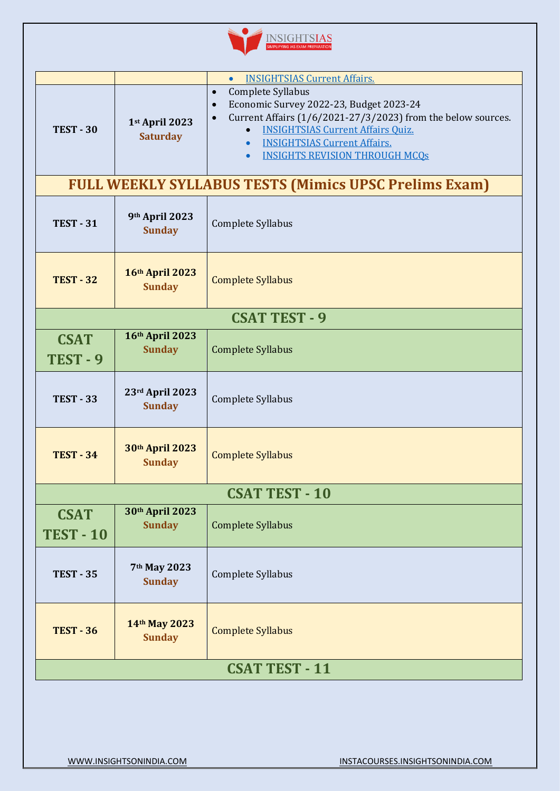

|                                                              |                                   | <b>INSIGHTSIAS Current Affairs.</b><br>$\bullet$                                                                                                                                                                                                                                                                                       |  |  |
|--------------------------------------------------------------|-----------------------------------|----------------------------------------------------------------------------------------------------------------------------------------------------------------------------------------------------------------------------------------------------------------------------------------------------------------------------------------|--|--|
| <b>TEST - 30</b>                                             | 1st April 2023<br><b>Saturday</b> | Complete Syllabus<br>$\bullet$<br>Economic Survey 2022-23, Budget 2023-24<br>$\bullet$<br>Current Affairs (1/6/2021-27/3/2023) from the below sources.<br>$\bullet$<br><b>INSIGHTSIAS Current Affairs Ouiz.</b><br>$\bullet$<br><b>INSIGHTSIAS Current Affairs.</b><br>$\bullet$<br><b>INSIGHTS REVISION THROUGH MCQS</b><br>$\bullet$ |  |  |
| <b>FULL WEEKLY SYLLABUS TESTS (Mimics UPSC Prelims Exam)</b> |                                   |                                                                                                                                                                                                                                                                                                                                        |  |  |
| <b>TEST - 31</b>                                             | 9th April 2023<br><b>Sunday</b>   | Complete Syllabus                                                                                                                                                                                                                                                                                                                      |  |  |
| <b>TEST - 32</b>                                             | 16th April 2023<br><b>Sunday</b>  | <b>Complete Syllabus</b>                                                                                                                                                                                                                                                                                                               |  |  |
| <b>CSAT TEST - 9</b>                                         |                                   |                                                                                                                                                                                                                                                                                                                                        |  |  |
| <b>CSAT</b><br>TEST-9                                        | 16th April 2023<br><b>Sunday</b>  | <b>Complete Syllabus</b>                                                                                                                                                                                                                                                                                                               |  |  |
| <b>TEST - 33</b>                                             | 23rd April 2023<br><b>Sunday</b>  | Complete Syllabus                                                                                                                                                                                                                                                                                                                      |  |  |
| <b>TEST - 34</b>                                             | 30th April 2023<br><b>Sunday</b>  | <b>Complete Syllabus</b>                                                                                                                                                                                                                                                                                                               |  |  |
| <b>CSAT TEST - 10</b>                                        |                                   |                                                                                                                                                                                                                                                                                                                                        |  |  |
| <b>CSAT</b><br><b>TEST - 10</b>                              | 30th April 2023<br><b>Sunday</b>  | <b>Complete Syllabus</b>                                                                                                                                                                                                                                                                                                               |  |  |
| <b>TEST - 35</b>                                             | 7th May 2023<br><b>Sunday</b>     | Complete Syllabus                                                                                                                                                                                                                                                                                                                      |  |  |
| <b>TEST - 36</b>                                             | 14th May 2023<br><b>Sunday</b>    | <b>Complete Syllabus</b>                                                                                                                                                                                                                                                                                                               |  |  |
| <b>CSAT TEST - 11</b>                                        |                                   |                                                                                                                                                                                                                                                                                                                                        |  |  |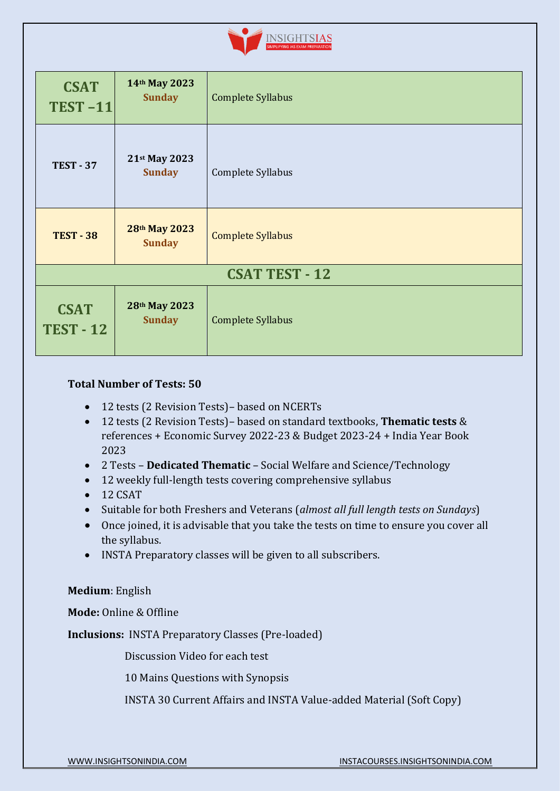

| <b>CSAT</b><br><b>TEST-11</b>   | 14th May 2023<br><b>Sunday</b> | Complete Syllabus        |  |  |  |
|---------------------------------|--------------------------------|--------------------------|--|--|--|
| <b>TEST - 37</b>                | 21st May 2023<br><b>Sunday</b> | Complete Syllabus        |  |  |  |
| <b>TEST - 38</b>                | 28th May 2023<br><b>Sunday</b> | <b>Complete Syllabus</b> |  |  |  |
| <b>CSAT TEST - 12</b>           |                                |                          |  |  |  |
| <b>CSAT</b><br><b>TEST - 12</b> | 28th May 2023<br><b>Sunday</b> | <b>Complete Syllabus</b> |  |  |  |

### **Total Number of Tests: 50**

- 12 tests (2 Revision Tests) based on NCERTs
- 12 tests (2 Revision Tests)– based on standard textbooks, **Thematic tests** & references + Economic Survey 2022-23 & Budget 2023-24 + India Year Book 2023
- 2 Tests **Dedicated Thematic** Social Welfare and Science/Technology
- 12 weekly full-length tests covering comprehensive syllabus
- 12 CSAT
- Suitable for both Freshers and Veterans (*almost all full length tests on Sundays*)
- Once joined, it is advisable that you take the tests on time to ensure you cover all the syllabus.
- INSTA Preparatory classes will be given to all subscribers.

### **Medium**: English

**Mode:** Online & Offline

**Inclusions:** INSTA Preparatory Classes (Pre-loaded)

Discussion Video for each test

10 Mains Questions with Synopsis

INSTA 30 Current Affairs and INSTA Value-added Material (Soft Copy)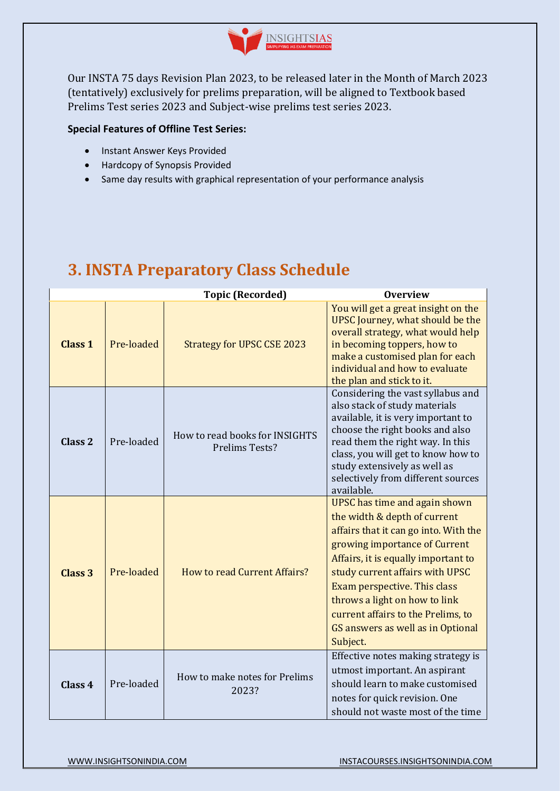

Our INSTA 75 days Revision Plan 2023, to be released later in the Month of March 2023 (tentatively) exclusively for prelims preparation, will be aligned to Textbook based Prelims Test series 2023 and Subject-wise prelims test series 2023.

### **Special Features of Offline Test Series:**

- Instant Answer Keys Provided
- Hardcopy of Synopsis Provided
- Same day results with graphical representation of your performance analysis

#### **Topic (Recorded) Overview Class 1** Pre-loaded Strategy for UPSC CSE 2023 You will get a great insight on the UPSC Journey, what should be the overall strategy, what would help in becoming toppers, how to make a customised plan for each individual and how to evaluate the plan and stick to it. **Class 2** Pre-loaded How to read books for INSIGHTS Prelims Tests? Considering the vast syllabus and also stack of study materials available, it is very important to choose the right books and also read them the right way. In this class, you will get to know how to study extensively as well as selectively from different sources available. **Class 3** Pre-loaded How to read Current Affairs? UPSC has time and again shown the width & depth of current affairs that it can go into. With the growing importance of Current Affairs, it is equally important to study current affairs with UPSC Exam perspective. This class throws a light on how to link current affairs to the Prelims, to GS answers as well as in Optional Subject. **Class 4** Pre-loaded How to make notes for Prelims 2023? Effective notes making strategy is utmost important. An aspirant should learn to make customised notes for quick revision. One should not waste most of the time

## <span id="page-13-0"></span>**[3. INSTA Preparatory Class Schedule](#page-13-0)**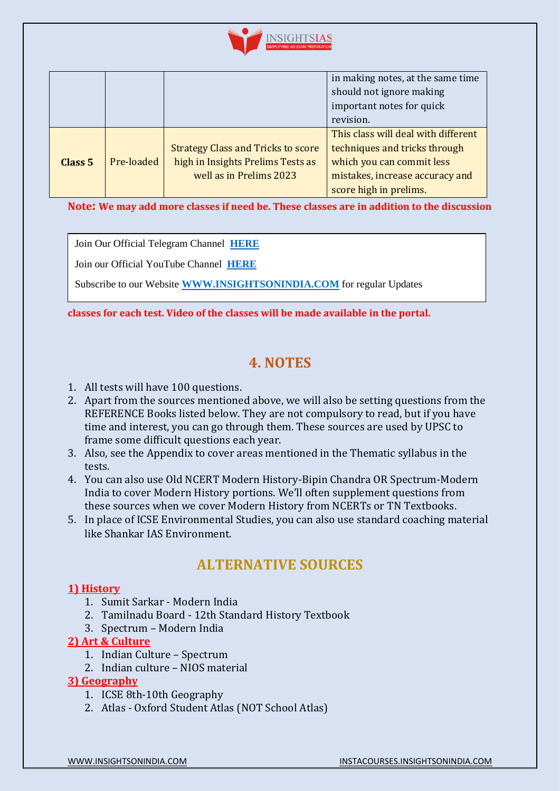

|                    |            |                                           | in making notes, at the same time   |
|--------------------|------------|-------------------------------------------|-------------------------------------|
|                    |            |                                           | should not ignore making            |
|                    |            |                                           | important notes for quick           |
|                    |            |                                           | revision.                           |
|                    |            |                                           | This class will deal with different |
|                    |            | <b>Strategy Class and Tricks to score</b> | techniques and tricks through       |
| Class <sub>5</sub> | Pre-loaded | high in Insights Prelims Tests as         | which you can commit less           |
|                    |            | well as in Prelims 2023                   | mistakes, increase accuracy and     |
|                    |            |                                           | score high in prelims.              |

**Note: We may add more classes if need be. These classes are in addition to the discussion** 

Join Our Official Telegram Channel **[HERE](https://t.me/insightsIAStips)**

Join our Official YouTube Channel **[HERE](https://www.youtube.com/channel/UCpoccbCX9GEIwaiIe4HLjwA)**

Subscribe to our Website **[WWW.INSIGHTSONINDIA.COM](http://www.insightsonindia.com/)** for regular Updates

**classes for each test. Video of the classes will be made available in the portal.**

## **[4. NOTES](#page-14-0)**

- <span id="page-14-0"></span>1. All tests will have 100 questions.
- 2. Apart from the sources mentioned above, we will also be setting questions from the REFERENCE Books listed below. They are not compulsory to read, but if you have time and interest, you can go through them. These sources are used by UPSC to frame some difficult questions each year.
- 3. Also, see the Appendix to cover areas mentioned in the Thematic syllabus in the tests.
- 4. You can also use Old NCERT Modern History-Bipin Chandra OR Spectrum-Modern India to cover Modern History portions. We'll often supplement questions from these sources when we cover Modern History from NCERTs or TN Textbooks.
- 5. In place of ICSE Environmental Studies, you can also use standard coaching material like Shankar IAS Environment.

## **ALTERNATIVE SOURCES**

### **1) History**

- 1. Sumit Sarkar Modern India
- 2. Tamilnadu Board 12th Standard History Textbook
- 3. Spectrum Modern India

### **2) Art & Culture**

- 1. Indian Culture Spectrum
- 2. Indian culture NIOS material

### **3) Geography**

- 1. ICSE 8th-10th Geography
- 2. Atlas Oxford Student Atlas (NOT School Atlas)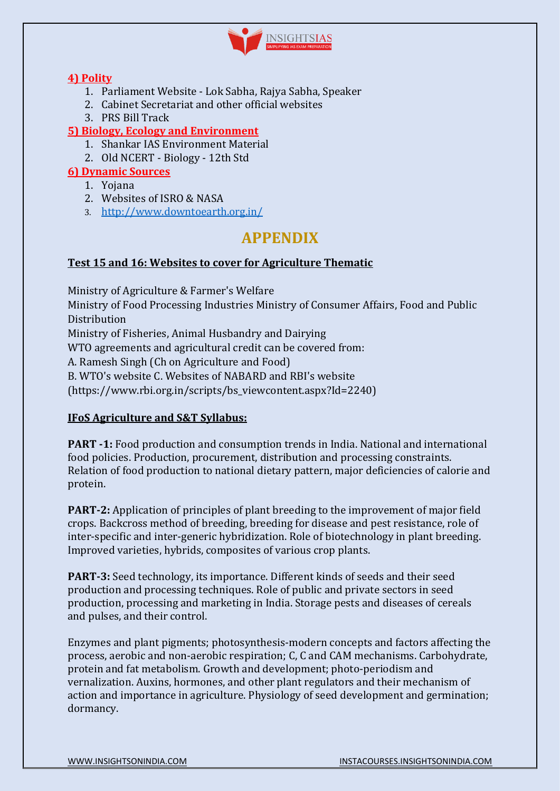

### **4) Polity**

- 1. Parliament Website Lok Sabha, Rajya Sabha, Speaker
- 2. Cabinet Secretariat and other official websites
- 3. PRS Bill Track

## **5) Biology, Ecology and Environment**

- 1. Shankar IAS Environment Material
- 2. Old NCERT Biology 12th Std

## **6) Dynamic Sources**

- 1. Yojana
- 2. Websites of ISRO & NASA
- 3. <http://www.downtoearth.org.in/>

## **APPENDIX**

## **Test 15 and 16: Websites to cover for Agriculture Thematic**

Ministry of Agriculture & Farmer's Welfare

Ministry of Food Processing Industries Ministry of Consumer Affairs, Food and Public **Distribution** 

Ministry of Fisheries, Animal Husbandry and Dairying

WTO agreements and agricultural credit can be covered from:

A. Ramesh Singh (Ch on Agriculture and Food)

B. WTO's website C. Websites of NABARD and RBI's website

(https://www.rbi.org.in/scripts/bs\_viewcontent.aspx?Id=2240)

## **IFoS Agriculture and S&T Syllabus:**

**PART -1:** Food production and consumption trends in India. National and international food policies. Production, procurement, distribution and processing constraints. Relation of food production to national dietary pattern, major deficiencies of calorie and protein.

**PART-2:** Application of principles of plant breeding to the improvement of major field crops. Backcross method of breeding, breeding for disease and pest resistance, role of inter-specific and inter-generic hybridization. Role of biotechnology in plant breeding. Improved varieties, hybrids, composites of various crop plants.

**PART-3:** Seed technology, its importance. Different kinds of seeds and their seed production and processing techniques. Role of public and private sectors in seed production, processing and marketing in India. Storage pests and diseases of cereals and pulses, and their control.

Enzymes and plant pigments; photosynthesis-modern concepts and factors affecting the process, aerobic and non-aerobic respiration; C, C and CAM mechanisms. Carbohydrate, protein and fat metabolism. Growth and development; photo-periodism and vernalization. Auxins, hormones, and other plant regulators and their mechanism of action and importance in agriculture. Physiology of seed development and germination; dormancy.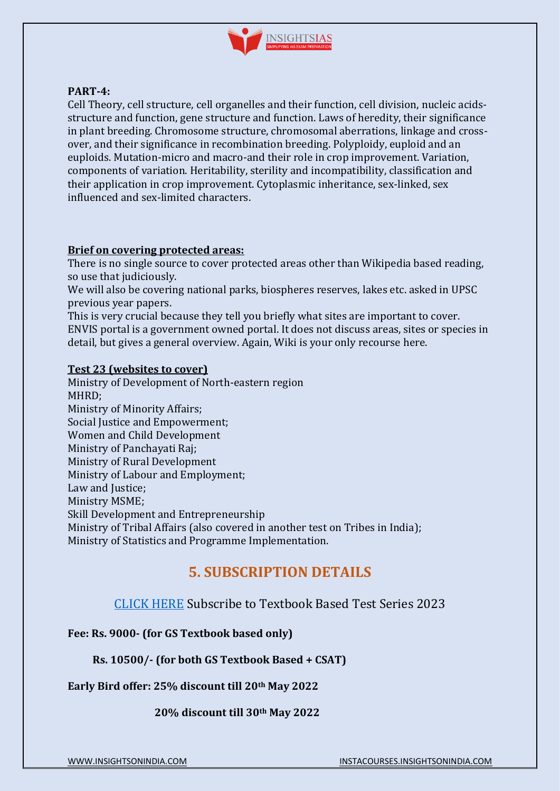

#### **PART-4:**

Cell Theory, cell structure, cell organelles and their function, cell division, nucleic acidsstructure and function, gene structure and function. Laws of heredity, their significance in plant breeding. Chromosome structure, chromosomal aberrations, linkage and crossover, and their significance in recombination breeding. Polyploidy, euploid and an euploids. Mutation-micro and macro-and their role in crop improvement. Variation, components of variation. Heritability, sterility and incompatibility, classification and their application in crop improvement. Cytoplasmic inheritance, sex-linked, sex influenced and sex-limited characters.

### **Brief on covering protected areas:**

There is no single source to cover protected areas other than Wikipedia based reading, so use that judiciously.

We will also be covering national parks, biospheres reserves, lakes etc. asked in UPSC previous year papers.

This is very crucial because they tell you briefly what sites are important to cover. ENVIS portal is a government owned portal. It does not discuss areas, sites or species in detail, but gives a general overview. Again, Wiki is your only recourse here.

#### **Test 23 (websites to cover)**

Ministry of Development of North-eastern region MHRD; Ministry of Minority Affairs; Social Justice and Empowerment; Women and Child Development Ministry of Panchayati Raj; Ministry of Rural Development Ministry of Labour and Employment; Law and Justice: Ministry MSME; Skill Development and Entrepreneurship Ministry of Tribal Affairs (also covered in another test on Tribes in India); Ministry of Statistics and Programme Implementation.

## **[5. SUBSCRIPTION DETAILS](#page-16-0)**

## <span id="page-16-0"></span>[CLICK HERE](instacourses.insightsonindia.com) Subscribe to Textbook Based Test Series 2023

### **Fee: Rs. 9000- (for GS Textbook based only)**

### **Rs. 10500/- (for both GS Textbook Based + CSAT)**

**Early Bird offer: 25% discount till 20th May 2022**

### **20% discount till 30th May 2022**